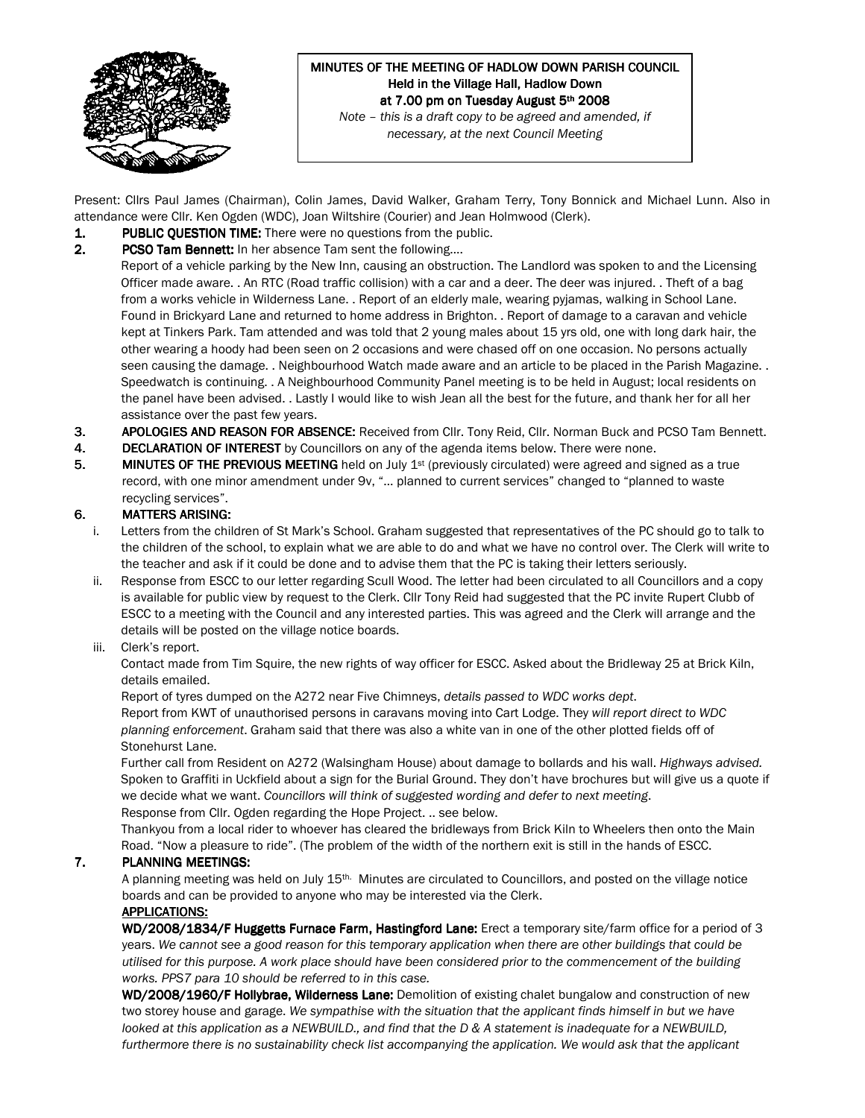

## MINUTES OF THE MEETING OF HADLOW DOWN PARISH COUNCIL Held in the Village Hall, Hadlow Down at 7.00 pm on Tuesday August 5th 2008 Note – this is a draft copy to be agreed and amended, if

necessary, at the next Council Meeting

Present: Cllrs Paul James (Chairman), Colin James, David Walker, Graham Terry, Tony Bonnick and Michael Lunn. Also in attendance were Cllr. Ken Ogden (WDC), Joan Wiltshire (Courier) and Jean Holmwood (Clerk).

- 1. PUBLIC QUESTION TIME: There were no questions from the public.
- 2. PCSO Tam Bennett: In her absence Tam sent the following....

Report of a vehicle parking by the New Inn, causing an obstruction. The Landlord was spoken to and the Licensing Officer made aware. . An RTC (Road traffic collision) with a car and a deer. The deer was injured. . Theft of a bag from a works vehicle in Wilderness Lane. . Report of an elderly male, wearing pyjamas, walking in School Lane. Found in Brickyard Lane and returned to home address in Brighton. . Report of damage to a caravan and vehicle kept at Tinkers Park. Tam attended and was told that 2 young males about 15 yrs old, one with long dark hair, the other wearing a hoody had been seen on 2 occasions and were chased off on one occasion. No persons actually seen causing the damage. . Neighbourhood Watch made aware and an article to be placed in the Parish Magazine. . Speedwatch is continuing. . A Neighbourhood Community Panel meeting is to be held in August; local residents on the panel have been advised. . Lastly I would like to wish Jean all the best for the future, and thank her for all her assistance over the past few years.

- 3. APOLOGIES AND REASON FOR ABSENCE: Received from Cllr. Tony Reid, Cllr. Norman Buck and PCSO Tam Bennett.
- 4. DECLARATION OF INTEREST by Councillors on any of the agenda items below. There were none.
- 5. MINUTES OF THE PREVIOUS MEETING held on July  $1<sup>st</sup>$  (previously circulated) were agreed and signed as a true record, with one minor amendment under 9v, "… planned to current services" changed to "planned to waste recycling services".

## 6. MATTERS ARISING:

- i. Letters from the children of St Mark's School. Graham suggested that representatives of the PC should go to talk to the children of the school, to explain what we are able to do and what we have no control over. The Clerk will write to the teacher and ask if it could be done and to advise them that the PC is taking their letters seriously.
- ii. Response from ESCC to our letter regarding Scull Wood. The letter had been circulated to all Councillors and a copy is available for public view by request to the Clerk. Cllr Tony Reid had suggested that the PC invite Rupert Clubb of ESCC to a meeting with the Council and any interested parties. This was agreed and the Clerk will arrange and the details will be posted on the village notice boards.

## iii. Clerk's report.

Contact made from Tim Squire, the new rights of way officer for ESCC. Asked about the Bridleway 25 at Brick Kiln, details emailed.

Report of tyres dumped on the A272 near Five Chimneys, details passed to WDC works dept. Report from KWT of unauthorised persons in caravans moving into Cart Lodge. They will report direct to WDC planning enforcement. Graham said that there was also a white van in one of the other plotted fields off of Stonehurst Lane.

Further call from Resident on A272 (Walsingham House) about damage to bollards and his wall. Highways advised. Spoken to Graffiti in Uckfield about a sign for the Burial Ground. They don't have brochures but will give us a quote if we decide what we want. Councillors will think of suggested wording and defer to next meeting. Response from Cllr. Ogden regarding the Hope Project. .. see below.

Thankyou from a local rider to whoever has cleared the bridleways from Brick Kiln to Wheelers then onto the Main Road. "Now a pleasure to ride". (The problem of the width of the northern exit is still in the hands of ESCC.

## 7. PLANNING MEETINGS:

A planning meeting was held on July 15th. Minutes are circulated to Councillors, and posted on the village notice boards and can be provided to anyone who may be interested via the Clerk.

## APPLICATIONS:

WD/2008/1834/F Huggetts Furnace Farm, Hastingford Lane: Erect a temporary site/farm office for a period of 3 years. We cannot see a good reason for this temporary application when there are other buildings that could be utilised for this purpose. A work place should have been considered prior to the commencement of the building works. PPS7 para 10 should be referred to in this case.

WD/2008/1960/F Hollybrae, Wilderness Lane: Demolition of existing chalet bungalow and construction of new two storey house and garage. We sympathise with the situation that the applicant finds himself in but we have looked at this application as a NEWBUILD., and find that the D & A statement is inadequate for a NEWBUILD, furthermore there is no sustainability check list accompanying the application. We would ask that the applicant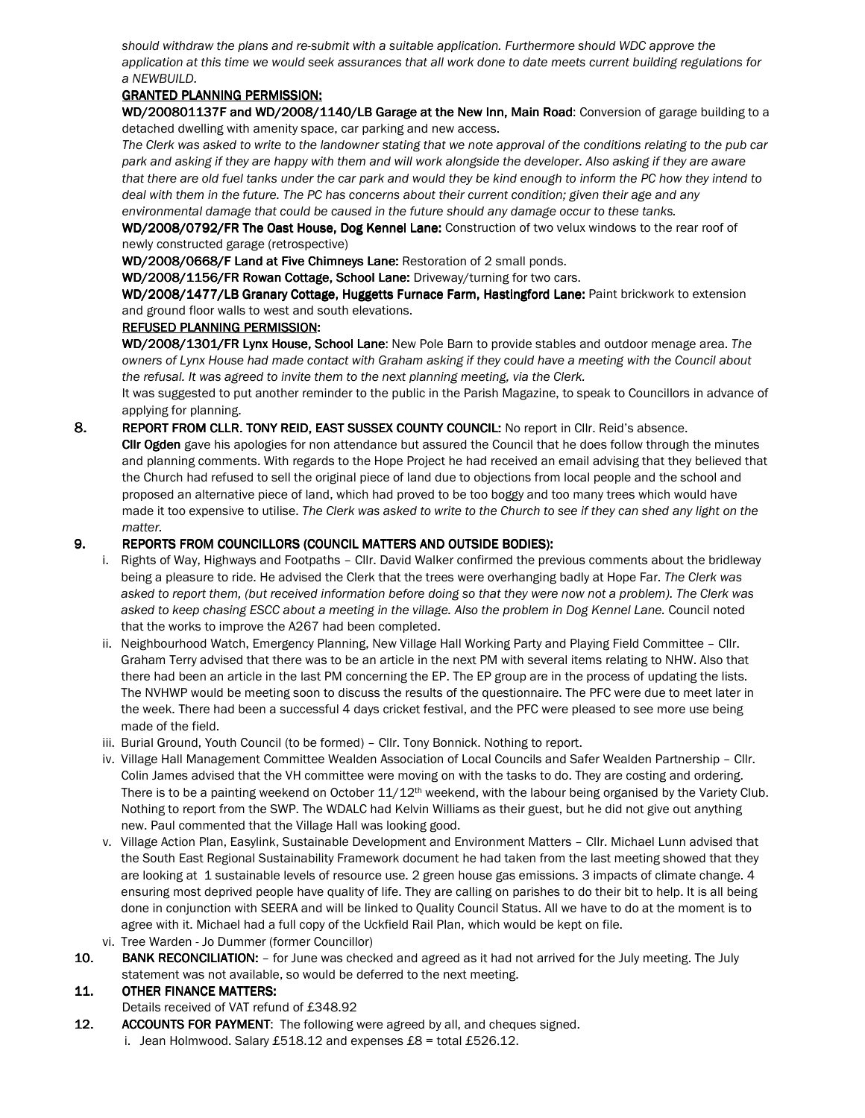should withdraw the plans and re-submit with a suitable application. Furthermore should WDC approve the application at this time we would seek assurances that all work done to date meets current building regulations for a NEWBUILD.

## GRANTED PLANNING PERMISSION:

WD/200801137F and WD/2008/1140/LB Garage at the New Inn, Main Road: Conversion of garage building to a detached dwelling with amenity space, car parking and new access.

The Clerk was asked to write to the landowner stating that we note approval of the conditions relating to the pub car park and asking if they are happy with them and will work alongside the developer. Also asking if they are aware that there are old fuel tanks under the car park and would they be kind enough to inform the PC how they intend to deal with them in the future. The PC has concerns about their current condition; given their age and any environmental damage that could be caused in the future should any damage occur to these tanks.

WD/2008/0792/FR The Oast House, Dog Kennel Lane: Construction of two velux windows to the rear roof of newly constructed garage (retrospective)

WD/2008/0668/F Land at Five Chimneys Lane: Restoration of 2 small ponds.

WD/2008/1156/FR Rowan Cottage, School Lane: Driveway/turning for two cars.

WD/2008/1477/LB Granary Cottage, Huggetts Furnace Farm, Hastingford Lane: Paint brickwork to extension and ground floor walls to west and south elevations.

## REFUSED PLANNING PERMISSION:

WD/2008/1301/FR Lynx House, School Lane: New Pole Barn to provide stables and outdoor menage area. The owners of Lynx House had made contact with Graham asking if they could have a meeting with the Council about the refusal. It was agreed to invite them to the next planning meeting, via the Clerk.

It was suggested to put another reminder to the public in the Parish Magazine, to speak to Councillors in advance of applying for planning.

8. REPORT FROM CLLR. TONY REID, EAST SUSSEX COUNTY COUNCIL: No report in Cllr. Reid's absence.

Cllr Ogden gave his apologies for non attendance but assured the Council that he does follow through the minutes and planning comments. With regards to the Hope Project he had received an email advising that they believed that the Church had refused to sell the original piece of land due to objections from local people and the school and proposed an alternative piece of land, which had proved to be too boggy and too many trees which would have made it too expensive to utilise. The Clerk was asked to write to the Church to see if they can shed any light on the matter.

## 9. REPORTS FROM COUNCILLORS (COUNCIL MATTERS AND OUTSIDE BODIES):

- i. Rights of Way, Highways and Footpaths Cllr. David Walker confirmed the previous comments about the bridleway being a pleasure to ride. He advised the Clerk that the trees were overhanging badly at Hope Far. The Clerk was asked to report them, (but received information before doing so that they were now not a problem). The Clerk was asked to keep chasing ESCC about a meeting in the village. Also the problem in Dog Kennel Lane. Council noted that the works to improve the A267 had been completed.
- ii. Neighbourhood Watch, Emergency Planning, New Village Hall Working Party and Playing Field Committee Cllr. Graham Terry advised that there was to be an article in the next PM with several items relating to NHW. Also that there had been an article in the last PM concerning the EP. The EP group are in the process of updating the lists. The NVHWP would be meeting soon to discuss the results of the questionnaire. The PFC were due to meet later in the week. There had been a successful 4 days cricket festival, and the PFC were pleased to see more use being made of the field.
- iii. Burial Ground, Youth Council (to be formed) Cllr. Tony Bonnick. Nothing to report.
- iv. Village Hall Management Committee Wealden Association of Local Councils and Safer Wealden Partnership Cllr. Colin James advised that the VH committee were moving on with the tasks to do. They are costing and ordering. There is to be a painting weekend on October 11/12<sup>th</sup> weekend, with the labour being organised by the Variety Club. Nothing to report from the SWP. The WDALC had Kelvin Williams as their guest, but he did not give out anything new. Paul commented that the Village Hall was looking good.
- v. Village Action Plan, Easylink, Sustainable Development and Environment Matters Cllr. Michael Lunn advised that the South East Regional Sustainability Framework document he had taken from the last meeting showed that they are looking at 1 sustainable levels of resource use. 2 green house gas emissions. 3 impacts of climate change. 4 ensuring most deprived people have quality of life. They are calling on parishes to do their bit to help. It is all being done in conjunction with SEERA and will be linked to Quality Council Status. All we have to do at the moment is to agree with it. Michael had a full copy of the Uckfield Rail Plan, which would be kept on file.
- vi. Tree Warden Jo Dummer (former Councillor)
- 10. BANK RECONCILIATION: for June was checked and agreed as it had not arrived for the July meeting. The July statement was not available, so would be deferred to the next meeting.

## 11. OTHER FINANCE MATTERS:

Details received of VAT refund of £348.92

12. ACCOUNTS FOR PAYMENT: The following were agreed by all, and cheques signed. i. Jean Holmwood. Salary £518.12 and expenses  $£8 =$  total £526.12.